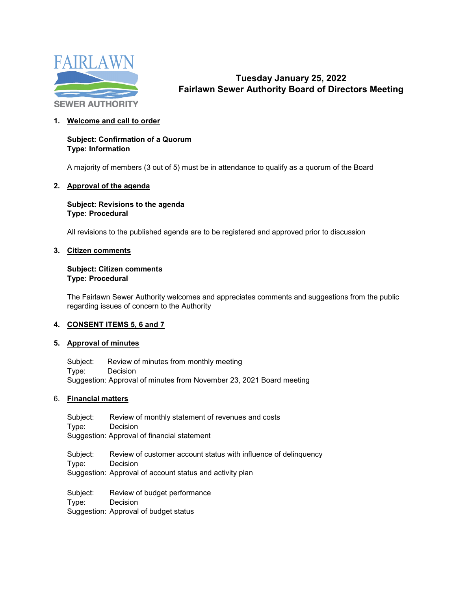

# **Tuesday January 25, 2022 Fairlawn Sewer Authority Board of Directors Meeting**

## **1. Welcome and call to order**

#### **Subject: Confirmation of a Quorum Type: Information**

A majority of members (3 out of 5) must be in attendance to qualify as a quorum of the Board

#### **2. Approval of the agenda**

## **Subject: Revisions to the agenda Type: Procedural**

All revisions to the published agenda are to be registered and approved prior to discussion

#### **3. Citizen comments**

## **Subject: Citizen comments Type: Procedural**

The Fairlawn Sewer Authority welcomes and appreciates comments and suggestions from the public regarding issues of concern to the Authority

## **4. CONSENT ITEMS 5, 6 and 7**

#### **5. Approval of minutes**

Subject: Review of minutes from monthly meeting Type: Decision Suggestion: Approval of minutes from November 23, 2021 Board meeting

#### 6. **Financial matters**

Subject: Review of monthly statement of revenues and costs Type: Decision Suggestion: Approval of financial statement Subject: Review of customer account status with influence of delinquency Type: Decision Suggestion: Approval of account status and activity plan Subject: Review of budget performance Type: Decision

Suggestion: Approval of budget status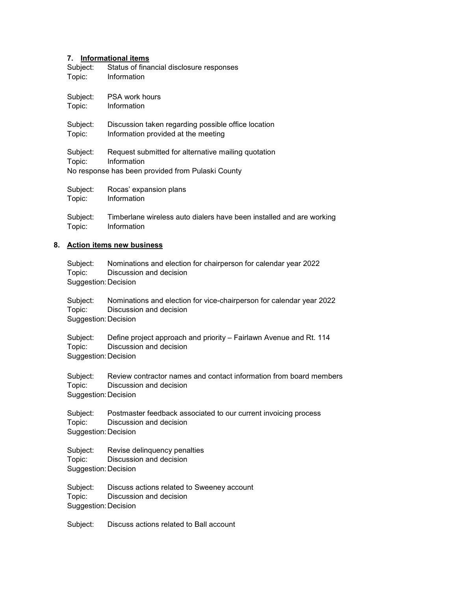#### **7. Informational items**

| Subject:           | Status of financial disclosure responses                                                                                |
|--------------------|-------------------------------------------------------------------------------------------------------------------------|
| Topic:             | Information                                                                                                             |
| Subject:           | <b>PSA work hours</b>                                                                                                   |
| Topic:             | Information                                                                                                             |
| Subject:           | Discussion taken regarding possible office location                                                                     |
| Topic:             | Information provided at the meeting                                                                                     |
| Subject:<br>Topic: | Request submitted for alternative mailing quotation<br>Information<br>No response has been provided from Pulaski County |
| Subject:           | Rocas' expansion plans                                                                                                  |
| Topic:             | Information                                                                                                             |
| Subject:           | Timberlane wireless auto dialers have been installed and are working                                                    |

Topic: Information

#### **8. Action items new business**

| Subject:             | Nominations and election for chairperson for calendar year 2022 |
|----------------------|-----------------------------------------------------------------|
| Topic:               | Discussion and decision                                         |
| Suggestion: Decision |                                                                 |

Subject: Nominations and election for vice-chairperson for calendar year 2022 Topic: Discussion and decision Suggestion:Decision

| Subject:             | Define project approach and priority – Fairlawn Avenue and Rt. 114 |
|----------------------|--------------------------------------------------------------------|
| Topic:               | Discussion and decision                                            |
| Suggestion: Decision |                                                                    |

Subject: Review contractor names and contact information from board members Topic: Discussion and decision Suggestion:Decision

Subject: Postmaster feedback associated to our current invoicing process Topic: Discussion and decision Suggestion:Decision

Subject: Revise delinquency penalties Topic: Discussion and decision Suggestion:Decision

Subject: Discuss actions related to Sweeney account Topic: Discussion and decision Suggestion:Decision

Subject: Discuss actions related to Ball account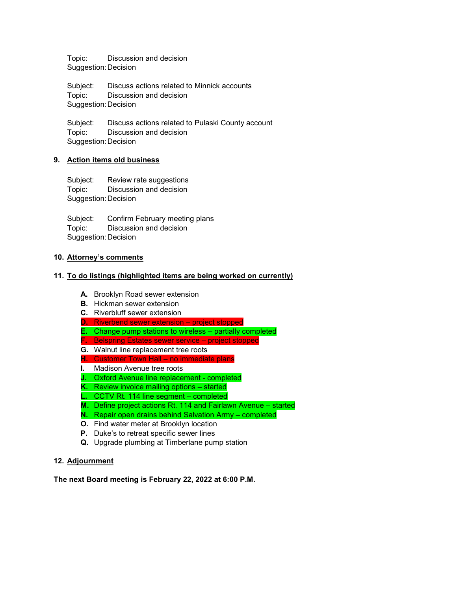Topic: Discussion and decision Suggestion:Decision

Subject: Discuss actions related to Minnick accounts Topic: Discussion and decision Suggestion:Decision

Subject: Discuss actions related to Pulaski County account Topic: Discussion and decision Suggestion:Decision

## **9. Action items old business**

Subject: Review rate suggestions Topic: Discussion and decision Suggestion:Decision

Subject: Confirm February meeting plans Topic: Discussion and decision Suggestion:Decision

## **10. Attorney's comments**

## **11. To do listings (highlighted items are being worked on currently)**

- **A.** Brooklyn Road sewer extension
- **B.** Hickman sewer extension
- **C.** Riverbluff sewer extension
- **D.** Riverbend sewer extension project stopped
- **E.** Change pump stations to wireless partially completed
- **F.** Belspring Estates sewer service project stopped
- **G.** Walnut line replacement tree roots
- **H.** Customer Town Hall no immediate plans
- **I.** Madison Avenue tree roots
- **J.** Oxford Avenue line replacement completed
- **K.** Review invoice mailing options started
- **L.** CCTV Rt. 114 line segment completed
- **M.** Define project actions Rt. 114 and Fairlawn Avenue started
- **N.** Repair open drains behind Salvation Army completed
- **O.** Find water meter at Brooklyn location
- **P.** Duke's to retreat specific sewer lines
- **Q.** Upgrade plumbing at Timberlane pump station

## **12. Adjournment**

**The next Board meeting is February 22, 2022 at 6:00 P.M.**